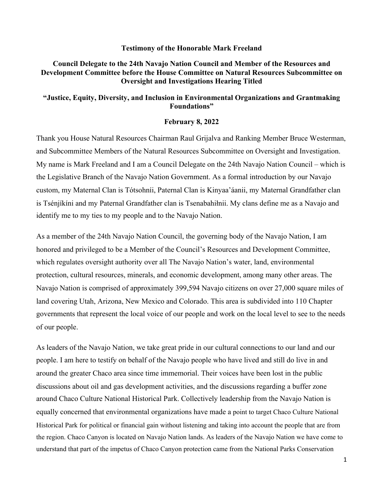#### **Testimony of the Honorable Mark Freeland**

## **Council Delegate to the 24th Navajo Nation Council and Member of the Resources and Development Committee before the House Committee on Natural Resources Subcommittee on Oversight and Investigations Hearing Titled**

## **"Justice, Equity, Diversity, and Inclusion in Environmental Organizations and Grantmaking Foundations"**

#### **February 8, 2022**

Thank you House Natural Resources Chairman Raul Grijalva and Ranking Member Bruce Westerman, and Subcommittee Members of the Natural Resources Subcommittee on Oversight and Investigation. My name is Mark Freeland and I am a Council Delegate on the 24th Navajo Nation Council – which is the Legislative Branch of the Navajo Nation Government. As a formal introduction by our Navajo custom, my Maternal Clan is Tótsohníi, Paternal Clan is Kinyaa'áanii, my Maternal Grandfather clan is Tsénjíkíni and my Paternal Grandfather clan is Tsenabahiłnii. My clans define me as a Navajo and identify me to my ties to my people and to the Navajo Nation.

As a member of the 24th Navajo Nation Council, the governing body of the Navajo Nation, I am honored and privileged to be a Member of the Council's Resources and Development Committee, which regulates oversight authority over all The Navajo Nation's water, land, environmental protection, cultural resources, minerals, and economic development, among many other areas. The Navajo Nation is comprised of approximately 399,594 Navajo citizens on over 27,000 square miles of land covering Utah, Arizona, New Mexico and Colorado. This area is subdivided into 110 Chapter governments that represent the local voice of our people and work on the local level to see to the needs of our people.

As leaders of the Navajo Nation, we take great pride in our cultural connections to our land and our people. I am here to testify on behalf of the Navajo people who have lived and still do live in and around the greater Chaco area since time immemorial. Their voices have been lost in the public discussions about oil and gas development activities, and the discussions regarding a buffer zone around Chaco Culture National Historical Park. Collectively leadership from the Navajo Nation is equally concerned that environmental organizations have made a point to target Chaco Culture National Historical Park for political or financial gain without listening and taking into account the people that are from the region. Chaco Canyon is located on Navajo Nation lands. As leaders of the Navajo Nation we have come to understand that part of the impetus of Chaco Canyon protection came from the National Parks Conservation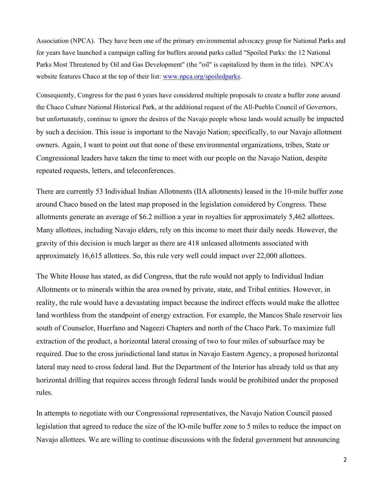Association (NPCA). They have been one of the primary environmental advocacy group for National Parks and for years have launched a campaign calling for buffers around parks called "Spoiled Parks: the 12 National Parks Most Threatened by Oil and Gas Development" (the "oil" is capitalized by them in the title). NPCA's website features Chaco at the top of their list: www.npca.org/spoiledparks.

Consequently, Congress for the past 6 years have considered multiple proposals to create a buffer zone around the Chaco Culture National Historical Park, at the additional request of the All-Pueblo Council of Governors, but unfortunately, continue to ignore the desires of the Navajo people whose lands would actually be impacted by such a decision. This issue is important to the Navajo Nation; specifically, to our Navajo allotment owners. Again, I want to point out that none of these environmental organizations, tribes, State or Congressional leaders have taken the time to meet with our people on the Navajo Nation, despite repeated requests, letters, and teleconferences.

There are currently 53 Individual Indian Allotments (IIA allotments) leased in the 10-mile buffer zone around Chaco based on the latest map proposed in the legislation considered by Congress. These allotments generate an average of \$6.2 million a year in royalties for approximately 5,462 allottees. Many allottees, including Navajo elders, rely on this income to meet their daily needs. However, the gravity of this decision is much larger as there are 418 unleased allotments associated with approximately 16,615 allottees. So, this rule very well could impact over 22,000 allottees.

The White House has stated, as did Congress, that the rule would not apply to Individual Indian Allotments or to minerals within the area owned by private, state, and Tribal entities. However, in reality, the rule would have a devastating impact because the indirect effects would make the allottee land worthless from the standpoint of energy extraction. For example, the Mancos Shale reservoir lies south of Counselor, Huerfano and Nageezi Chapters and north of the Chaco Park. To maximize full extraction of the product, a horizontal lateral crossing of two to four miles of subsurface may be required. Due to the cross jurisdictional land status in Navajo Eastern Agency, a proposed horizontal lateral may need to cross federal land. But the Department of the Interior has already told us that any horizontal drilling that requires access through federal lands would be prohibited under the proposed rules.

In attempts to negotiate with our Congressional representatives, the Navajo Nation Council passed legislation that agreed to reduce the size of the lO-mile buffer zone to 5 miles to reduce the impact on Navajo allottees. We are willing to continue discussions with the federal government but announcing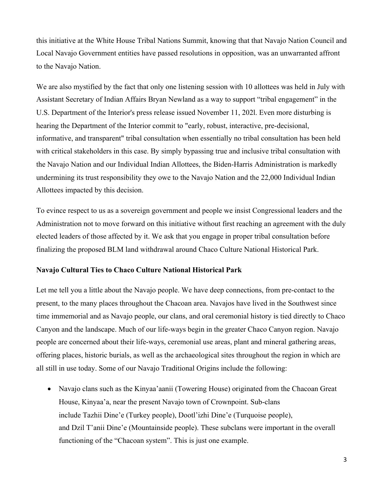this initiative at the White House Tribal Nations Summit, knowing that that Navajo Nation Council and Local Navajo Government entities have passed resolutions in opposition, was an unwarranted affront to the Navajo Nation.

We are also mystified by the fact that only one listening session with 10 allottees was held in July with Assistant Secretary of Indian Affairs Bryan Newland as a way to support "tribal engagement" in the U.S. Department of the Interior's press release issued November 11, 202l. Even more disturbing is hearing the Department of the Interior commit to "early, robust, interactive, pre-decisional, informative, and transparent" tribal consultation when essentially no tribal consultation has been held with critical stakeholders in this case. By simply bypassing true and inclusive tribal consultation with the Navajo Nation and our Individual Indian Allottees, the Biden-Harris Administration is markedly undermining its trust responsibility they owe to the Navajo Nation and the 22,000 Individual Indian Allottees impacted by this decision.

To evince respect to us as a sovereign government and people we insist Congressional leaders and the Administration not to move forward on this initiative without first reaching an agreement with the duly elected leaders of those affected by it. We ask that you engage in proper tribal consultation before finalizing the proposed BLM land withdrawal around Chaco Culture National Historical Park.

### **Navajo Cultural Ties to Chaco Culture National Historical Park**

Let me tell you a little about the Navajo people. We have deep connections, from pre-contact to the present, to the many places throughout the Chacoan area. Navajos have lived in the Southwest since time immemorial and as Navajo people, our clans, and oral ceremonial history is tied directly to Chaco Canyon and the landscape. Much of our life-ways begin in the greater Chaco Canyon region. Navajo people are concerned about their life-ways, ceremonial use areas, plant and mineral gathering areas, offering places, historic burials, as well as the archaeological sites throughout the region in which are all still in use today. Some of our Navajo Traditional Origins include the following:

• Navajo clans such as the Kinyaa'aanii (Towering House) originated from the Chacoan Great House, Kinyaa'a, near the present Navajo town of Crownpoint. Sub-clans include Tazhii Dine'e (Turkey people), Dootl'izhi Dine'e (Turquoise people), and Dzil T'anii Dine'e (Mountainside people). These subclans were important in the overall functioning of the "Chacoan system". This is just one example.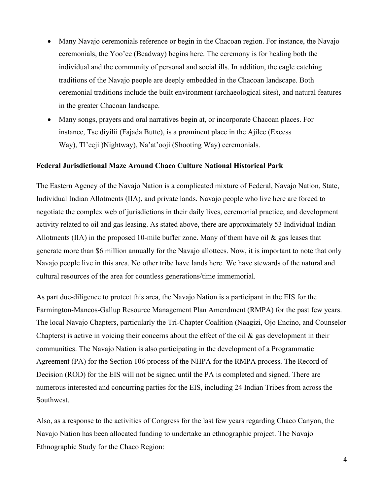- Many Navajo ceremonials reference or begin in the Chacoan region. For instance, the Navajo ceremonials, the Yoo'ee (Beadway) begins here. The ceremony is for healing both the individual and the community of personal and social ills. In addition, the eagle catching traditions of the Navajo people are deeply embedded in the Chacoan landscape. Both ceremonial traditions include the built environment (archaeological sites), and natural features in the greater Chacoan landscape.
- Many songs, prayers and oral narratives begin at, or incorporate Chacoan places. For instance, Tse diyilii (Fajada Butte), is a prominent place in the Ajilee (Excess Way), Tl'eeji )Nightway), Na'at'ooji (Shooting Way) ceremonials.

### **Federal Jurisdictional Maze Around Chaco Culture National Historical Park**

The Eastern Agency of the Navajo Nation is a complicated mixture of Federal, Navajo Nation, State, Individual Indian Allotments (IIA), and private lands. Navajo people who live here are forced to negotiate the complex web of jurisdictions in their daily lives, ceremonial practice, and development activity related to oil and gas leasing. As stated above, there are approximately 53 Individual Indian Allotments (IIA) in the proposed 10-mile buffer zone. Many of them have oil  $\&$  gas leases that generate more than \$6 million annually for the Navajo allottees. Now, it is important to note that only Navajo people live in this area. No other tribe have lands here. We have stewards of the natural and cultural resources of the area for countless generations/time immemorial.

As part due-diligence to protect this area, the Navajo Nation is a participant in the EIS for the Farmington-Mancos-Gallup Resource Management Plan Amendment (RMPA) for the past few years. The local Navajo Chapters, particularly the Tri-Chapter Coalition (Naagizi, Ojo Encino, and Counselor Chapters) is active in voicing their concerns about the effect of the oil  $\&$  gas development in their communities. The Navajo Nation is also participating in the development of a Programmatic Agreement (PA) for the Section 106 process of the NHPA for the RMPA process. The Record of Decision (ROD) for the EIS will not be signed until the PA is completed and signed. There are numerous interested and concurring parties for the EIS, including 24 Indian Tribes from across the Southwest.

Also, as a response to the activities of Congress for the last few years regarding Chaco Canyon, the Navajo Nation has been allocated funding to undertake an ethnographic project. The Navajo Ethnographic Study for the Chaco Region: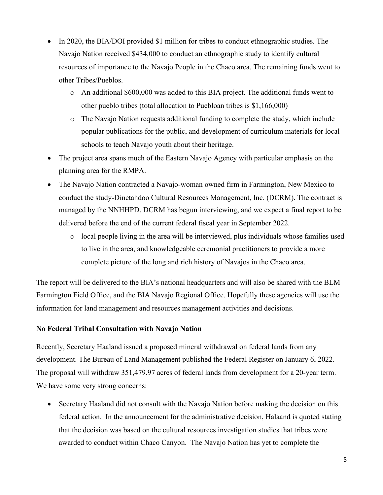- In 2020, the BIA/DOI provided \$1 million for tribes to conduct ethnographic studies. The Navajo Nation received \$434,000 to conduct an ethnographic study to identify cultural resources of importance to the Navajo People in the Chaco area. The remaining funds went to other Tribes/Pueblos.
	- o An additional \$600,000 was added to this BIA project. The additional funds went to other pueblo tribes (total allocation to Puebloan tribes is \$1,166,000)
	- o The Navajo Nation requests additional funding to complete the study, which include popular publications for the public, and development of curriculum materials for local schools to teach Navajo youth about their heritage.
- The project area spans much of the Eastern Navajo Agency with particular emphasis on the planning area for the RMPA.
- The Navajo Nation contracted a Navajo-woman owned firm in Farmington, New Mexico to conduct the study-Dinetahdoo Cultural Resources Management, Inc. (DCRM). The contract is managed by the NNHHPD. DCRM has begun interviewing, and we expect a final report to be delivered before the end of the current federal fiscal year in September 2022.
	- o local people living in the area will be interviewed, plus individuals whose families used to live in the area, and knowledgeable ceremonial practitioners to provide a more complete picture of the long and rich history of Navajos in the Chaco area.

The report will be delivered to the BIA's national headquarters and will also be shared with the BLM Farmington Field Office, and the BIA Navajo Regional Office. Hopefully these agencies will use the information for land management and resources management activities and decisions.

# **No Federal Tribal Consultation with Navajo Nation**

Recently, Secretary Haaland issued a proposed mineral withdrawal on federal lands from any development. The Bureau of Land Management published the Federal Register on January 6, 2022. The proposal will withdraw 351,479.97 acres of federal lands from development for a 20-year term. We have some very strong concerns:

• Secretary Haaland did not consult with the Navajo Nation before making the decision on this federal action. In the announcement for the administrative decision, Halaand is quoted stating that the decision was based on the cultural resources investigation studies that tribes were awarded to conduct within Chaco Canyon. The Navajo Nation has yet to complete the